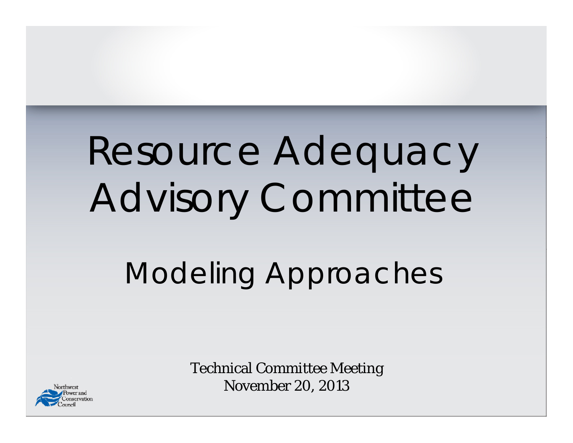# Resource Adequacy Advisory Committee

## Modeling Approaches



Technical Committee Meeting November 20, 2013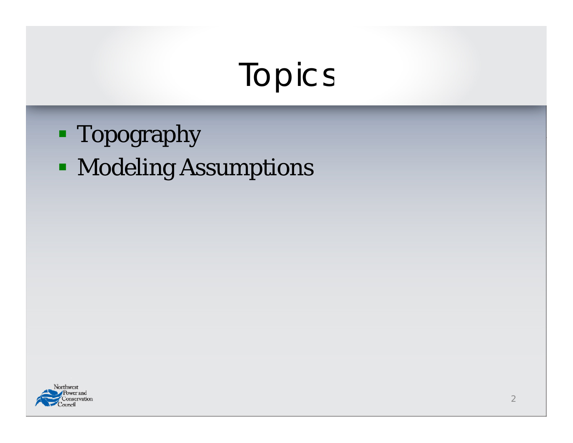### Topics

- **Topography**
- **Modeling Assumptions**

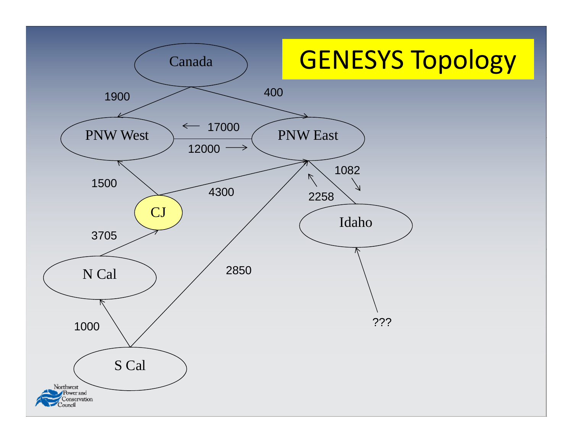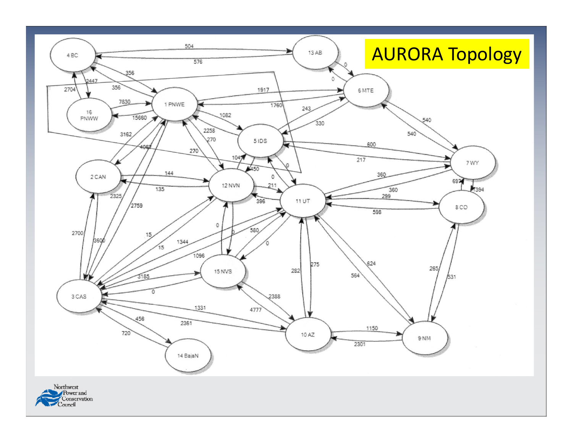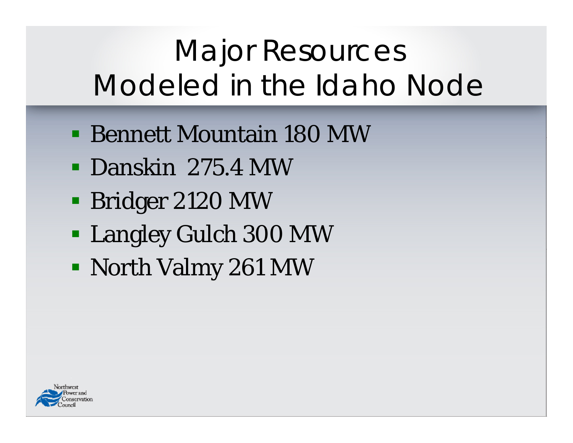## Major Resources Modeled in the Idaho Node

- Bennett Mountain 180 MW
- Danskin 275.4 MW
- **Bridger 2120 MW**
- Langley Gulch 300 MW
- North Valmy 261 MW

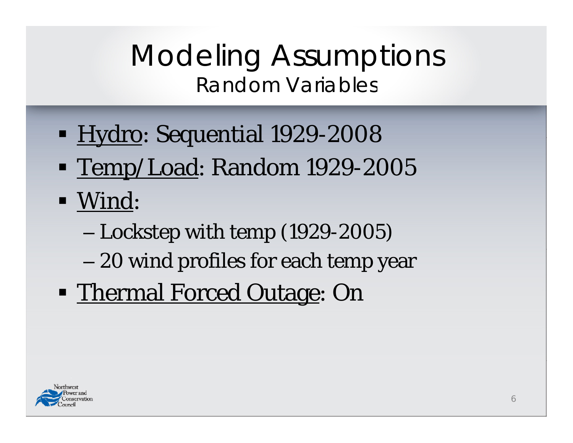#### Modeling Assumptions Random Variables

- **Hydro: Sequential 1929-2008**
- <u>- Temp/Load</u>: Random 1929-2005
- $\blacksquare$  Wind:
	- Lockstep with temp (1929-2005)
	- 20 wind profiles for each temp year
- **Thermal Forced Outage: On**

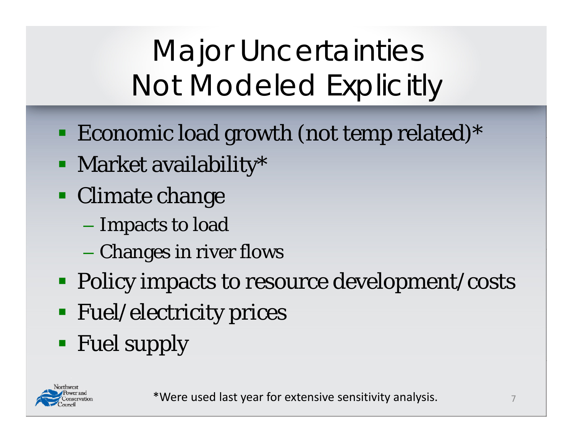## Major Uncertainties Not Modeled Explicitly

- **Example 1** Economic load growth (not temp related)\*
- **Market availability\***
- **Climate change** 
	- Impacts to load
	- Changes in river flows
- **Policy impacts to resource development/costs**
- **Fuel/electricity prices**
- **Fuel supply**

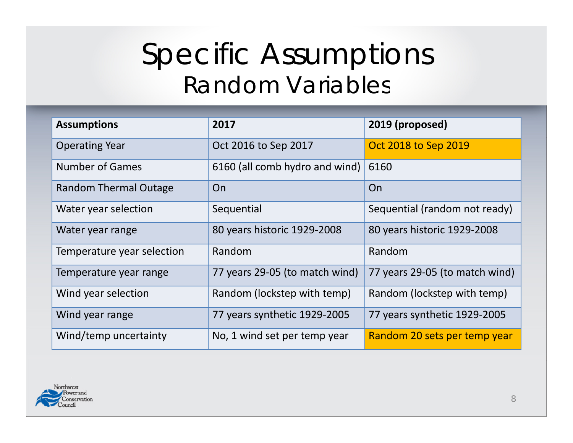#### Specific Assumptions Random Variables

| <b>Assumptions</b>           | 2017                           | 2019 (proposed)                |
|------------------------------|--------------------------------|--------------------------------|
| <b>Operating Year</b>        | Oct 2016 to Sep 2017           | <b>Oct 2018 to Sep 2019</b>    |
| <b>Number of Games</b>       | 6160 (all comb hydro and wind) | 6160                           |
| <b>Random Thermal Outage</b> | On                             | On                             |
| Water year selection         | Sequential                     | Sequential (random not ready)  |
| Water year range             | 80 years historic 1929-2008    | 80 years historic 1929-2008    |
| Temperature year selection   | Random                         | Random                         |
| Temperature year range       | 77 years 29-05 (to match wind) | 77 years 29-05 (to match wind) |
| Wind year selection          | Random (lockstep with temp)    | Random (lockstep with temp)    |
| Wind year range              | 77 years synthetic 1929-2005   | 77 years synthetic 1929-2005   |
| Wind/temp uncertainty        | No, 1 wind set per temp year   | Random 20 sets per temp year   |

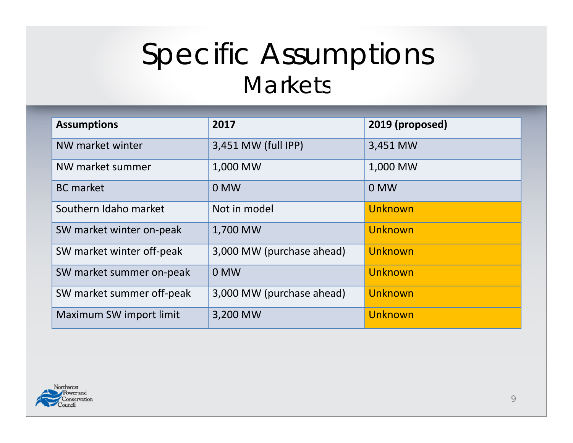#### Specific Assumptions Markets

| <b>Assumptions</b>        | 2017                      | 2019 (proposed) |
|---------------------------|---------------------------|-----------------|
| NW market winter          | 3,451 MW (full IPP)       | 3,451 MW        |
| NW market summer          | 1,000 MW                  | 1,000 MW        |
| <b>BC</b> market          | 0 MW                      | $0$ MW          |
| Southern Idaho market     | Not in model              | Unknown         |
| SW market winter on-peak  | 1,700 MW                  | Unknown         |
| SW market winter off-peak | 3,000 MW (purchase ahead) | Unknown         |
| SW market summer on-peak  | 0 MW                      | Unknown         |
| SW market summer off-peak | 3,000 MW (purchase ahead) | Unknown         |
| Maximum SW import limit   | 3,200 MW                  | Unknown         |

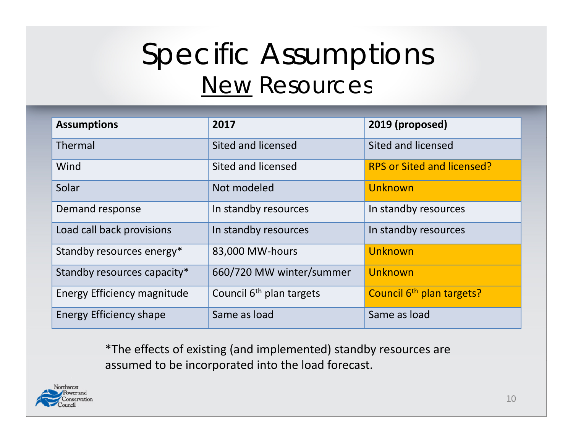#### Specific Assumptions New Resources

| <b>Assumptions</b>             | 2017                       | 2019 (proposed)                       |
|--------------------------------|----------------------------|---------------------------------------|
| Thermal                        | Sited and licensed         | Sited and licensed                    |
| Wind                           | Sited and licensed         | <b>RPS or Sited and licensed?</b>     |
| Solar                          | Not modeled                | Unknown                               |
| Demand response                | In standby resources       | In standby resources                  |
| Load call back provisions      | In standby resources       | In standby resources                  |
| Standby resources energy*      | 83,000 MW-hours            | Unknown                               |
| Standby resources capacity*    | 660/720 MW winter/summer   | Unknown                               |
| Energy Efficiency magnitude    | Council $6th$ plan targets | Council 6 <sup>th</sup> plan targets? |
| <b>Energy Efficiency shape</b> | Same as load               | Same as load                          |

\*The effects of existing (and implemented) standby resources are assumed to be incorporated into the load forecast.

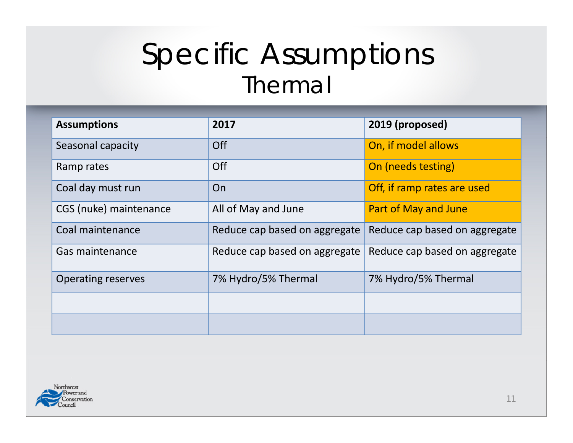#### Specific Assumptions Thermal

| <b>Assumptions</b>        | 2017                          | 2019 (proposed)               |
|---------------------------|-------------------------------|-------------------------------|
| Seasonal capacity         | Off                           | On, if model allows           |
| Ramp rates                | Off                           | On (needs testing)            |
| Coal day must run         | On                            | Off, if ramp rates are used   |
| CGS (nuke) maintenance    | All of May and June           | <b>Part of May and June</b>   |
| Coal maintenance          | Reduce cap based on aggregate | Reduce cap based on aggregate |
| Gas maintenance           | Reduce cap based on aggregate | Reduce cap based on aggregate |
| <b>Operating reserves</b> | 7% Hydro/5% Thermal           | 7% Hydro/5% Thermal           |
|                           |                               |                               |
|                           |                               |                               |